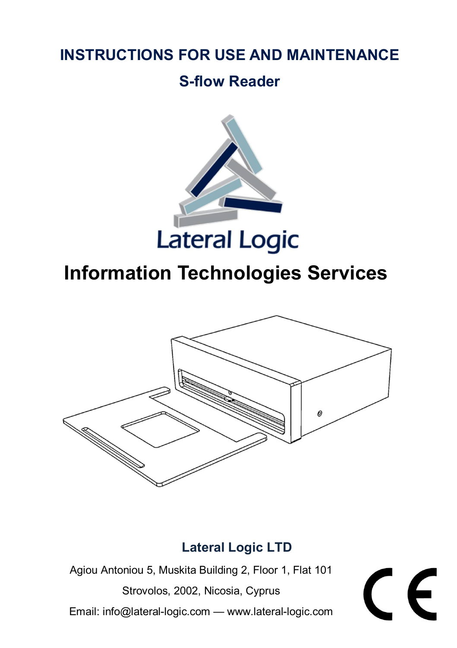## **INSTRUCTIONS FOR USE AND MAINTENANCE**

## **S-flow Reader**



# **Information Technologies Services**



## **Lateral Logic LTD**

Agiou Antoniou 5, Muskita Building 2, Floor 1, Flat 101

Strovolos, 2002, Nicosia, Cyprus Email: info@lateral-logic.com — www.lateral-logic.com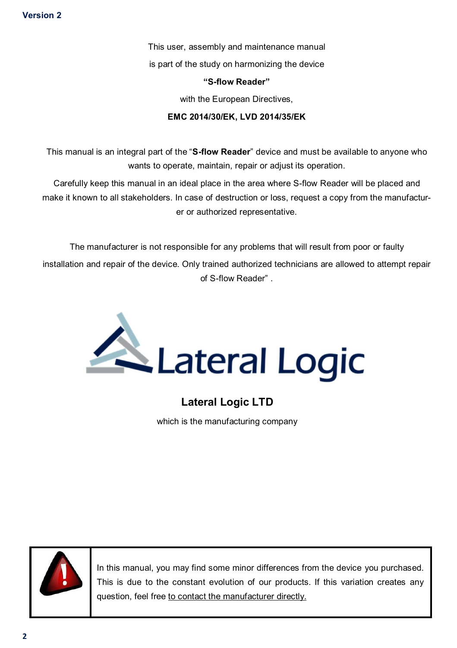This user, assembly and maintenance manual is part of the study on harmonizing the device

#### **"S-flow Reader"**

with the European Directives.

#### **EMC 2014/30/ΕΚ, LVD 2014/35/ΕΚ**

This manual is an integral part of the "**S-flow Reader**" device and must be available to anyone who wants to operate, maintain, repair or adjust its operation.

Carefully keep this manual in an ideal place in the area where S-flow Reader will be placed and make it known to all stakeholders. In case of destruction or loss, request a copy from the manufacturer or authorized representative.

The manufacturer is not responsible for any problems that will result from poor or faulty installation and repair of the device. Only trained authorized technicians are allowed to attempt repair of S-flow Reader" .



## **Lateral Logic LTD**

which is the manufacturing company



In this manual, you may find some minor differences from the device you purchased. This is due to the constant evolution of our products. If this variation creates any question, feel free to contact the manufacturer directly.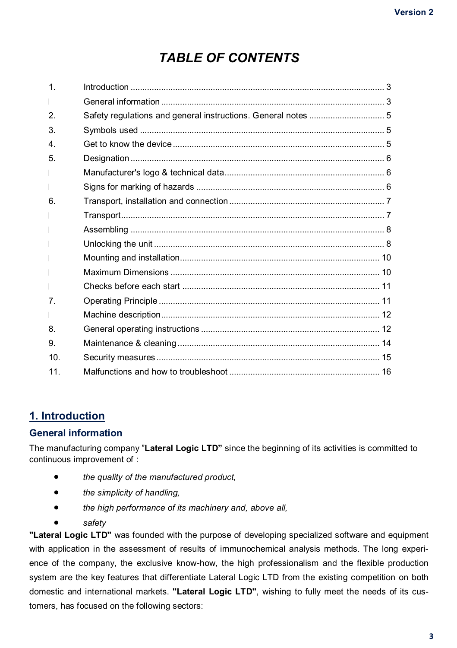## *TABLE OF CONTENTS*

| Safety regulations and general instructions. General notes  5 |  |
|---------------------------------------------------------------|--|
|                                                               |  |
|                                                               |  |
|                                                               |  |
|                                                               |  |
|                                                               |  |
|                                                               |  |
|                                                               |  |
|                                                               |  |
|                                                               |  |
|                                                               |  |
|                                                               |  |
|                                                               |  |
|                                                               |  |
|                                                               |  |
|                                                               |  |
|                                                               |  |
|                                                               |  |
|                                                               |  |
|                                                               |  |

### **1. Introduction**

#### **General information**

The manufacturing company "**Lateral Logic LTD"** since the beginning of its activities is committed to continuous improvement of :

- *the quality of the manufactured product,*
- *the simplicity of handling,*
- *the high performance of its machinery and, above all,*
- *safety*

**"Lateral Logic LTD"** was founded with the purpose of developing specialized software and equipment with application in the assessment of results of immunochemical analysis methods. The long experience of the company, the exclusive know-how, the high professionalism and the flexible production system are the key features that differentiate Lateral Logic LTD from the existing competition on both domestic and international markets. **"Lateral Logic LTD"**, wishing to fully meet the needs of its customers, has focused on the following sectors: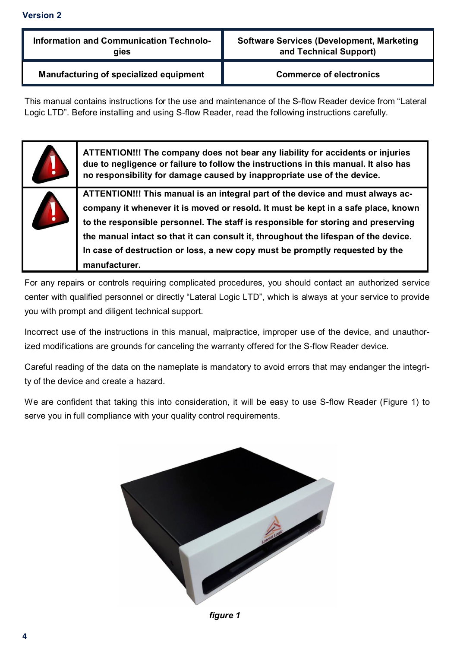#### **Information and Communication Technologies**

**Software Services (Development, Marketing and Technical Support)** 

**Manufacturing of specialized equipment Commerce of electronics** 

This manual contains instructions for the use and maintenance of the S-flow Reader device from "Lateral Logic LTD". Before installing and using S-flow Reader, read the following instructions carefully.



**ATTENTION!!! The company does not bear any liability for accidents or injuries due to negligence or failure to follow the instructions in this manual. It also has no responsibility for damage caused by inappropriate use of the device.**

**ATTENTION!!! This manual is an integral part of the device and must always accompany it whenever it is moved or resold. It must be kept in a safe place, known to the responsible personnel. The staff is responsible for storing and preserving the manual intact so that it can consult it, throughout the lifespan of the device. In case of destruction or loss, a new copy must be promptly requested by the manufacturer.**

For any repairs or controls requiring complicated procedures, you should contact an authorized service center with qualified personnel or directly "Lateral Logic LTD", which is always at your service to provide you with prompt and diligent technical support.

Incorrect use of the instructions in this manual, malpractice, improper use of the device, and unauthorized modifications are grounds for canceling the warranty offered for the S-flow Reader device.

Careful reading of the data on the nameplate is mandatory to avoid errors that may endanger the integrity of the device and create a hazard.

We are confident that taking this into consideration, it will be easy to use S-flow Reader (Figure 1) to serve you in full compliance with your quality control requirements.



*figure 1*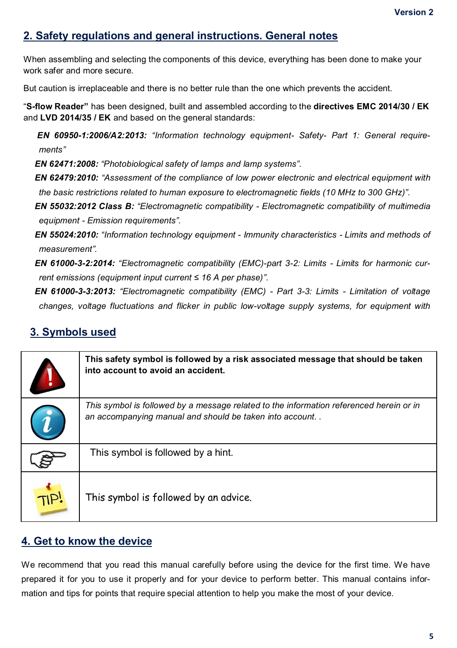## **2. Safety regulations and general instructions. General notes**

When assembling and selecting the components of this device, everything has been done to make your work safer and more secure.

But caution is irreplaceable and there is no better rule than the one which prevents the accident.

"**S-flow Reader"** has been designed, built and assembled according to the **directives EMC 2014/30 / EK**  and **LVD 2014/35 / EK** and based on the general standards:

*EN 60950-1:2006/A2:2013: "Information technology equipment- Safety- Part 1: General requirements"*

*EN 62471:2008: "Photobiological safety of lamps and lamp systems".*

*EN 62479:2010: "Assessment of the compliance of low power electronic and electrical equipment with the basic restrictions related to human exposure to electromagnetic fields (10 MHz to 300 GHz)".*

*EN 55032:2012 Class B: "Electromagnetic compatibility - Electromagnetic compatibility of multimedia equipment - Emission requirements".*

*EN 55024:2010: "Information technology equipment - Immunity characteristics - Limits and methods of measurement".*

*EN 61000-3-2:2014: "Electromagnetic compatibility (EMC)-part 3-2: Limits - Limits for harmonic current emissions (equipment input current ≤ 16 A per phase)".*

*EN 61000-3-3:2013: "Electromagnetic compatibility (EMC) - Part 3-3: Limits - Limitation of voltage changes, voltage fluctuations and flicker in public low-voltage supply systems, for equipment with* 

## **3. Symbols used**

| This safety symbol is followed by a risk associated message that should be taken<br>into account to avoid an accident.                             |
|----------------------------------------------------------------------------------------------------------------------------------------------------|
| This symbol is followed by a message related to the information referenced herein or in<br>an accompanying manual and should be taken into account |
| This symbol is followed by a hint.                                                                                                                 |
| This symbol is followed by an advice.                                                                                                              |

### **4. Get to know the device**

We recommend that you read this manual carefully before using the device for the first time. We have prepared it for you to use it properly and for your device to perform better. This manual contains information and tips for points that require special attention to help you make the most of your device.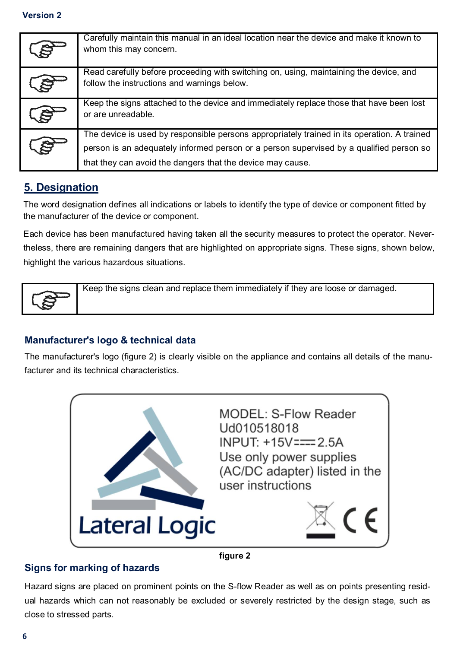| Carefully maintain this manual in an ideal location near the device and make it known to<br>whom this may concern.                    |
|---------------------------------------------------------------------------------------------------------------------------------------|
| Read carefully before proceeding with switching on, using, maintaining the device, and<br>follow the instructions and warnings below. |
| Keep the signs attached to the device and immediately replace those that have been lost<br>or are unreadable.                         |
| The device is used by responsible persons appropriately trained in its operation. A trained                                           |
| person is an adequately informed person or a person supervised by a qualified person so                                               |
| that they can avoid the dangers that the device may cause.                                                                            |

## **5. Designation**

The word designation defines all indications or labels to identify the type of device or component fitted by the manufacturer of the device or component.

Each device has been manufactured having taken all the security measures to protect the operator. Nevertheless, there are remaining dangers that are highlighted on appropriate signs. These signs, shown below, highlight the various hazardous situations.

Keep the signs clean and replace them immediately if they are loose or damaged.

#### **Manufacturer's logo & technical data**

The manufacturer's logo (figure 2) is clearly visible on the appliance and contains all details of the manufacturer and its technical characteristics.



**figure 2**

#### **Signs for marking of hazards**

Hazard signs are placed on prominent points on the S-flow Reader as well as on points presenting residual hazards which can not reasonably be excluded or severely restricted by the design stage, such as close to stressed parts.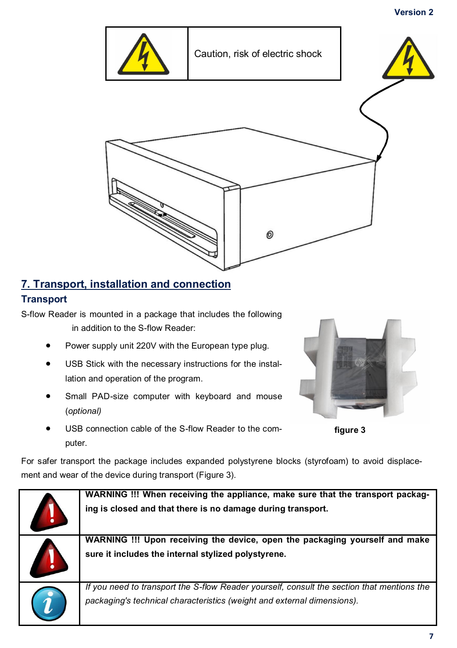

## **7. Transport, installation and connection**

### **Transport**

S-flow Reader is mounted in a package that includes the following in addition to the S-flow Reader:

- Power supply unit 220V with the European type plug.
- USB Stick with the necessary instructions for the installation and operation of the program.
- Small PAD-size computer with keyboard and mouse (*optional)*



**figure 3**

 USB connection cable of the S-flow Reader to the computer.

For safer transport the package includes expanded polystyrene blocks (styrofoam) to avoid displacement and wear of the device during transport (Figure 3).

| WARNING !!! When receiving the appliance, make sure that the transport packag-<br>ing is closed and that there is no damage during transport.                         |
|-----------------------------------------------------------------------------------------------------------------------------------------------------------------------|
| WARNING !!! Upon receiving the device, open the packaging yourself and make<br>sure it includes the internal stylized polystyrene.                                    |
| If you need to transport the S-flow Reader yourself, consult the section that mentions the<br>packaging's technical characteristics (weight and external dimensions). |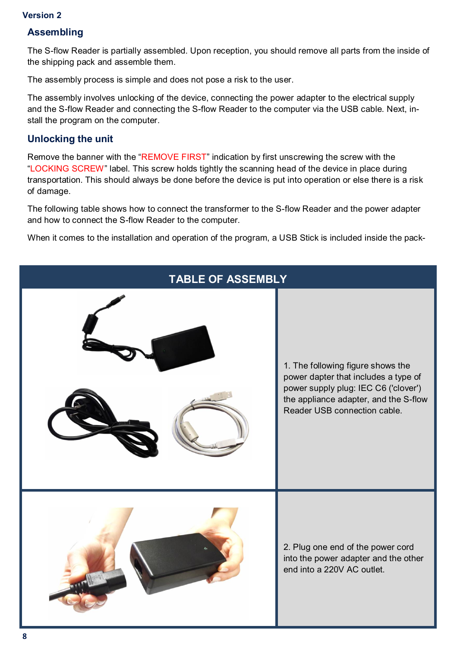#### **Assembling**

The S-flow Reader is partially assembled. Upon reception, you should remove all parts from the inside of the shipping pack and assemble them.

The assembly process is simple and does not pose a risk to the user.

The assembly involves unlocking of the device, connecting the power adapter to the electrical supply and the S-flow Reader and connecting the S-flow Reader to the computer via the USB cable. Next, install the program on the computer.

#### **Unlocking the unit**

Remove the banner with the "REMOVE FIRST" indication by first unscrewing the screw with the "LOCKING SCREW" label. This screw holds tightly the scanning head of the device in place during transportation. This should always be done before the device is put into operation or else there is a risk of damage.

The following table shows how to connect the transformer to the S-flow Reader and the power adapter and how to connect the S-flow Reader to the computer.

When it comes to the installation and operation of the program, a USB Stick is included inside the pack-

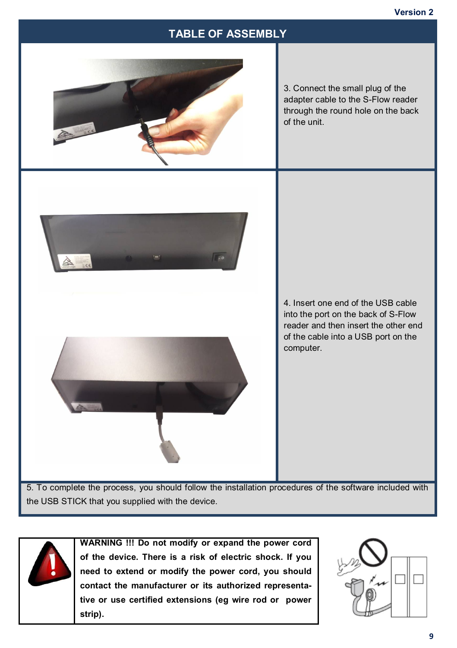## **TABLE OF ASSEMBLY**



3. Connect the small plug of the adapter cable to the S-Flow reader through the round hole on the back of the unit.



4. Insert one end of the USB cable into the port on the back of S-Flow reader and then insert the other end of the cable into a USB port on the computer.

5. To complete the process, you should follow the installation procedures of the software included with the USB STICK that you supplied with the device.



**WARNING !!! Do not modify or expand the power cord of the device. There is a risk of electric shock. If you need to extend or modify the power cord, you should contact the manufacturer or its authorized representative or use certified extensions (eg wire rod or power strip).**

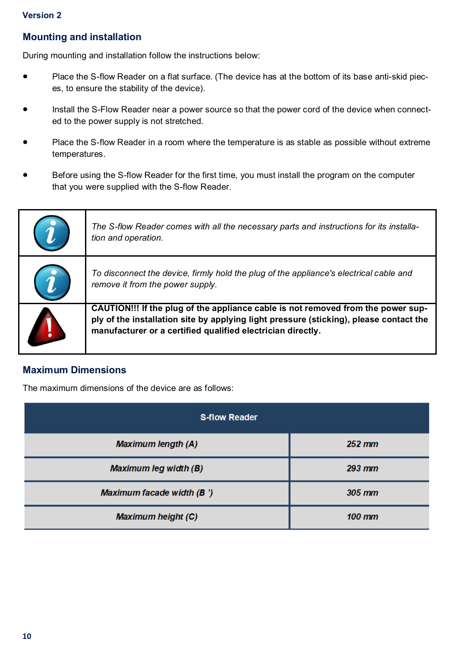#### **Mounting and installation**

During mounting and installation follow the instructions below:

- Place the S-flow Reader on a flat surface. (The device has at the bottom of its base anti-skid pieces, to ensure the stability of the device).
- Install the S-Flow Reader near a power source so that the power cord of the device when connected to the power supply is not stretched.
- Place the S-flow Reader in a room where the temperature is as stable as possible without extreme temperatures.
- Before using the S-flow Reader for the first time, you must install the program on the computer that you were supplied with the S-flow Reader.

| The S-flow Reader comes with all the necessary parts and instructions for its installa-<br>tion and operation.                                                                                                                            |
|-------------------------------------------------------------------------------------------------------------------------------------------------------------------------------------------------------------------------------------------|
| To disconnect the device, firmly hold the plug of the appliance's electrical cable and<br>remove it from the power supply.                                                                                                                |
| CAUTION!!! If the plug of the appliance cable is not removed from the power sup-<br>ply of the installation site by applying light pressure (sticking), please contact the<br>manufacturer or a certified qualified electrician directly. |

#### **Maximum Dimensions**

The maximum dimensions of the device are as follows:

| <b>S-flow Reader</b>         |          |  |
|------------------------------|----------|--|
| <b>Maximum length (A)</b>    | $252$ mm |  |
| <b>Maximum leg width (B)</b> | $293$ mm |  |
| Maximum facade width (B)     | $305$ mm |  |
| <b>Maximum height (C)</b>    | $100$ mm |  |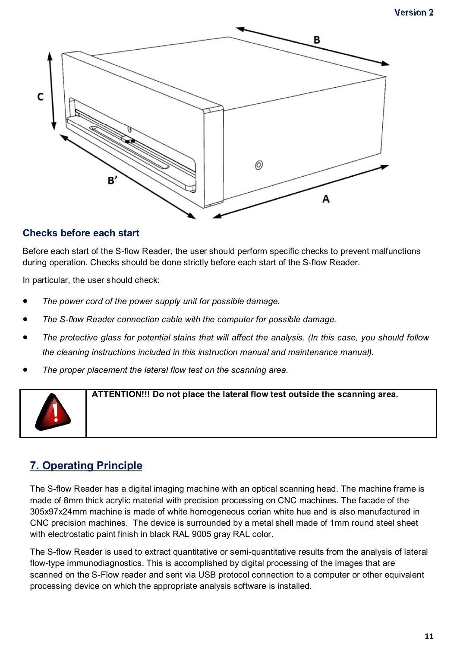

#### **Checks before each start**

Before each start of the S-flow Reader, the user should perform specific checks to prevent malfunctions during operation. Checks should be done strictly before each start of the S-flow Reader.

In particular, the user should check:

- *The power cord of the power supply unit for possible damage.*
- *The S-flow Reader connection cable with the computer for possible damage.*
- *The protective glass for potential stains that will affect the analysis. (In this case, you should follow the cleaning instructions included in this instruction manual and maintenance manual).*
- *The proper placement the lateral flow test on the scanning area.*



**ATTENTION!!! Do not place the lateral flow test outside the scanning area.**

## **7. Operating Principle**

The S-flow Reader has a digital imaging machine with an optical scanning head. The machine frame is made of 8mm thick acrylic material with precision processing on CNC machines. The facade of the 305x97x24mm machine is made of white homogeneous corian white hue and is also manufactured in CNC precision machines. The device is surrounded by a metal shell made of 1mm round steel sheet with electrostatic paint finish in black RAL 9005 gray RAL color.

The S-flow Reader is used to extract quantitative or semi-quantitative results from the analysis of lateral flow-type immunodiagnostics. This is accomplished by digital processing of the images that are scanned on the S-Flow reader and sent via USB protocol connection to a computer or other equivalent processing device on which the appropriate analysis software is installed.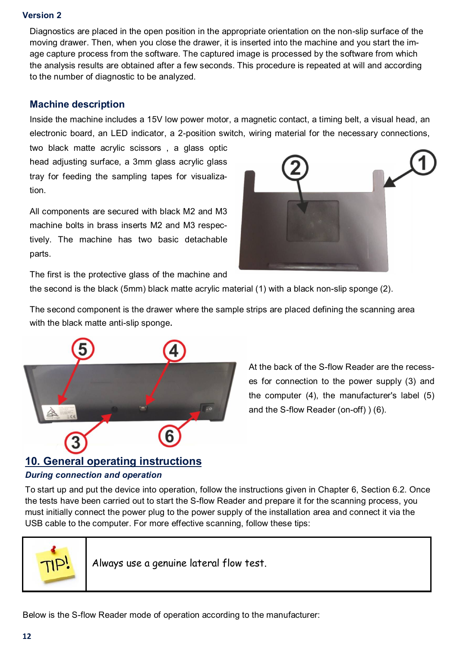Diagnostics are placed in the open position in the appropriate orientation on the non-slip surface of the moving drawer. Then, when you close the drawer, it is inserted into the machine and you start the image capture process from the software. The captured image is processed by the software from which the analysis results are obtained after a few seconds. This procedure is repeated at will and according to the number of diagnostic to be analyzed.

#### **Machine description**

Inside the machine includes a 15V low power motor, a magnetic contact, a timing belt, a visual head, an electronic board, an LED indicator, a 2-position switch, wiring material for the necessary connections,

two black matte acrylic scissors , a glass optic head adjusting surface, a 3mm glass acrylic glass tray for feeding the sampling tapes for visualization.

All components are secured with black M2 and M3 machine bolts in brass inserts M2 and M3 respectively. The machine has two basic detachable parts.



The first is the protective glass of the machine and

the second is the black (5mm) black matte acrylic material (1) with a black non-slip sponge (2).

The second component is the drawer where the sample strips are placed defining the scanning area with the black matte anti-slip sponge.



At the back of the S-flow Reader are the recesses for connection to the power supply (3) and the computer (4), the manufacturer's label (5) and the S-flow Reader (on-off) ) (6).

## **10. General operating instructions**

#### *During connection and operation*

To start up and put the device into operation, follow the instructions given in Chapter 6, Section 6.2. Once the tests have been carried out to start the S-flow Reader and prepare it for the scanning process, you must initially connect the power plug to the power supply of the installation area and connect it via the USB cable to the computer. For more effective scanning, follow these tips:



Always use a genuine lateral flow test.

Below is the S-flow Reader mode of operation according to the manufacturer: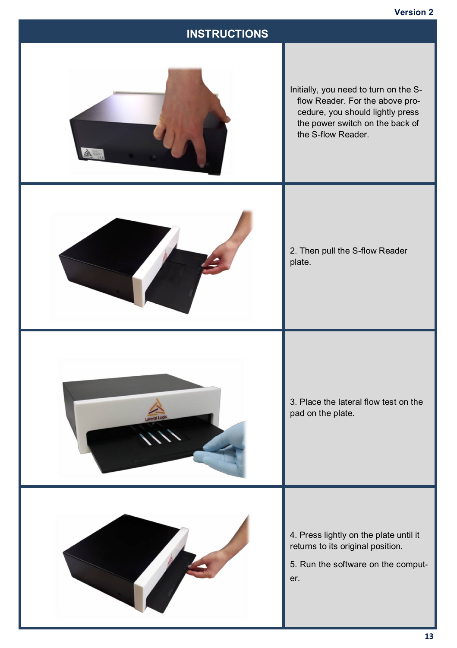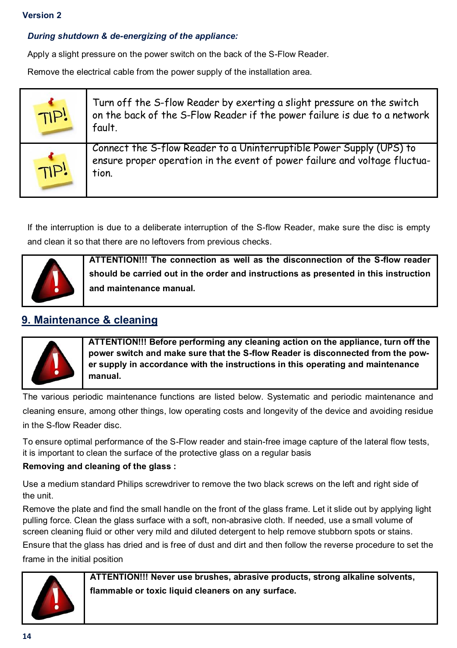#### *During shutdown & de-energizing of the appliance:*

Apply a slight pressure on the power switch on the back of the S-Flow Reader.

Remove the electrical cable from the power supply of the installation area.

| TIP! | Turn off the S-flow Reader by exerting a slight pressure on the switch<br>on the back of the S-Flow Reader if the power failure is due to a network<br>fault. |
|------|---------------------------------------------------------------------------------------------------------------------------------------------------------------|
| TIP! | Connect the S-flow Reader to a Uninterruptible Power Supply (UPS) to<br>ensure proper operation in the event of power failure and voltage fluctua-<br>tion.   |

If the interruption is due to a deliberate interruption of the S-flow Reader, make sure the disc is empty and clean it so that there are no leftovers from previous checks.



**ATTENTION!!! The connection as well as the disconnection of the S-flow reader should be carried out in the order and instructions as presented in this instruction and maintenance manual.**

## **9. Maintenance & cleaning**



**ATTENTION!!! Before performing any cleaning action on the appliance, turn off the power switch and make sure that the S-flow Reader is disconnected from the power supply in accordance with the instructions in this operating and maintenance manual.**

The various periodic maintenance functions are listed below. Systematic and periodic maintenance and cleaning ensure, among other things, low operating costs and longevity of the device and avoiding residue in the S-flow Reader disc.

To ensure optimal performance of the S-Flow reader and stain-free image capture of the lateral flow tests, it is important to clean the surface of the protective glass on a regular basis

#### **Removing and cleaning of the glass :**

Use a medium standard Philips screwdriver to remove the two black screws on the left and right side of the unit.

Remove the plate and find the small handle on the front of the glass frame. Let it slide out by applying light pulling force. Clean the glass surface with a soft, non-abrasive cloth. If needed, use a small volume of screen cleaning fluid or other very mild and diluted detergent to help remove stubborn spots or stains.

Ensure that the glass has dried and is free of dust and dirt and then follow the reverse procedure to set the frame in the initial position



**ATTENTION!!! Never use brushes, abrasive products, strong alkaline solvents, flammable or toxic liquid cleaners on any surface.**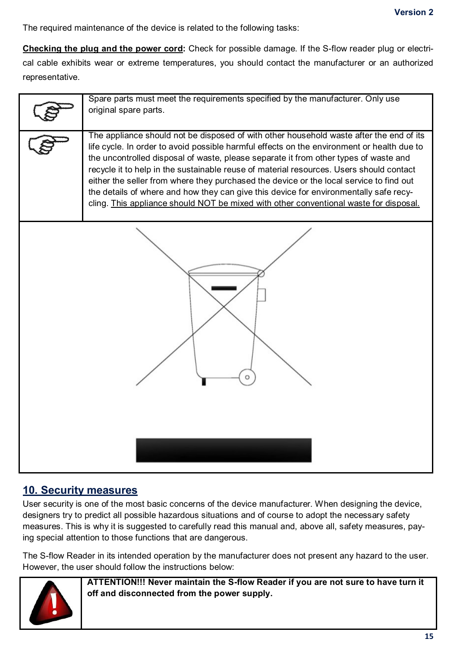The required maintenance of the device is related to the following tasks:

**Checking the plug and the power cord:** Check for possible damage. If the S-flow reader plug or electrical cable exhibits wear or extreme temperatures, you should contact the manufacturer or an authorized representative.

| Spare parts must meet the requirements specified by the manufacturer. Only use<br>original spare parts.                                                                                                                                                                                                                                                                                                                                                                                                                                                                                                                                               |
|-------------------------------------------------------------------------------------------------------------------------------------------------------------------------------------------------------------------------------------------------------------------------------------------------------------------------------------------------------------------------------------------------------------------------------------------------------------------------------------------------------------------------------------------------------------------------------------------------------------------------------------------------------|
| The appliance should not be disposed of with other household waste after the end of its<br>life cycle. In order to avoid possible harmful effects on the environment or health due to<br>the uncontrolled disposal of waste, please separate it from other types of waste and<br>recycle it to help in the sustainable reuse of material resources. Users should contact<br>either the seller from where they purchased the device or the local service to find out<br>the details of where and how they can give this device for environmentally safe recy-<br>cling. This appliance should NOT be mixed with other conventional waste for disposal. |
|                                                                                                                                                                                                                                                                                                                                                                                                                                                                                                                                                                                                                                                       |

### **10. Security measures**

User security is one of the most basic concerns of the device manufacturer. When designing the device, designers try to predict all possible hazardous situations and of course to adopt the necessary safety measures. This is why it is suggested to carefully read this manual and, above all, safety measures, paying special attention to those functions that are dangerous.

The S-flow Reader in its intended operation by the manufacturer does not present any hazard to the user. However, the user should follow the instructions below:



**ATTENTION!!! Never maintain the S-flow Reader if you are not sure to have turn it off and disconnected from the power supply.**